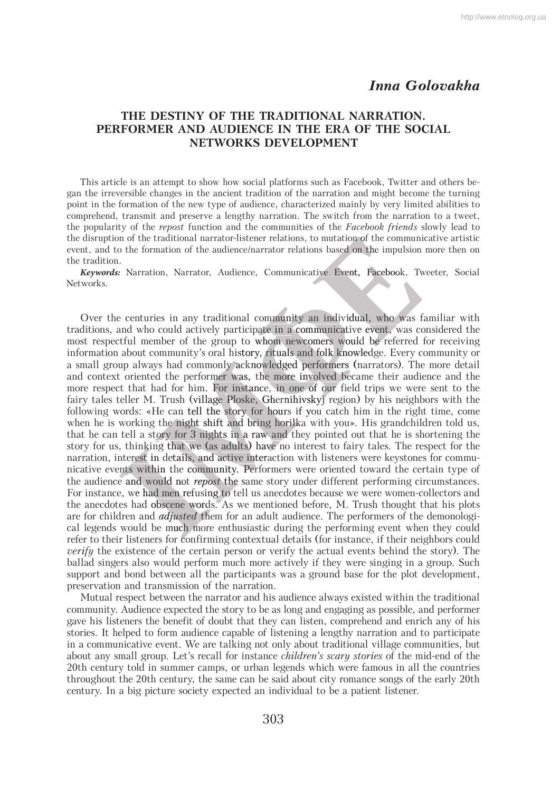## *Inna Golovakha*

## **THE DESTINY OF THE TRADITIONAL NARRATION. PERFORMER AND AUDIENCE IN THE ERA OF THE SOCIAL NETWORKS DEVELOPMENT**

This article is an attempt to show how social platforms such as Facebook, Twitter and others began the irreversible changes in the ancient tradition of the narration and might become the turning point in the formation of the new type of audience, characterized mainly by very limited abilities to comprehend, transmit and preserve a lengthy narration. The switch from the narration to a tweet, the popularity of the *repost* function and the communities of the *Facebook friends* slowly lead to the disruption of the traditional narrator-listener relations, to mutation of the communicative artistic event, and to the formation of the audience/narrator relations based on the impulsion more then on the tradition.

*Keywords:* Narration, Narrator, Audience, Communicative Event, Facebook, Tweeter, Social Networks.

Over the centuries in any traditional community an individual, who was familiar with traditions, and who could actively participate in a communicative event, was considered the most respectful member of the group to whom newcomers would be referred for receiving information about community's oral history, rituals and folk knowledge. Every community or a small group always had commonly acknowledged performers (narrators). The more detail and context oriented the performer was, the more involved became their audience and the more respect that had for him. For instance, in one of our field trips we were sent to the fairy tales teller M. Trush (village Ploske, Ghernihivskyj region) by his neighbors with the following words: «He can tell the story for hours if you catch him in the right time, come when he is working the night shift and bring horilka with you». His grandchildren told us, that he can tell a story for 3 nights in a raw and they pointed out that he is shortening the story for us, thinking that we (as adults) have no interest to fairy tales. The respect for the narration, interest in details, and active interaction with listeners were keystones for communicative events within the community. Performers were oriented toward the certain type of the audience and would not *repost* the same story under different performing circumstances. For instance, we had men refusing to tell us anecdotes because we were women-collectors and the anecdotes had obscene words. As we mentioned before, M. Trush thought that his plots are for children and *adjusted* them for an adult audience. The performers of the demonological legends would be much more enthusiastic during the performing event when they could refer to their listeners for confirming contextual details (for instance, if their neighbors could *verify* the existence of the certain person or verify the actual events behind the story). The ballad singers also would perform much more actively if they were singing in a group. Such support and bond between all the participants was a ground base for the plot development, preservation and transmission of the narration. *n*, thinking that we define<br>the and would not *repose*<br>is and would not *repose*<br>e, we had men refusir<br>es had obscene word<br>dren and *adjusted* the<br>would be much more ys had commonly acknowledged<br>ed the performer was, the more<br>nad for him. For instance, in or<br>Trush (village Ploske, Ghernih<br>He can tell the story for hours is<br>it the night shift and bring horill<br>tory for 3 nights in a raw aal community an individual<br>ticipate in a communicative e<br>to whom newcomers would<br>story, rituals and folk knowlee<br>acknowledged performers (na<br>ras, the more involved becam<br>nstance, in one of our field t<br>oske, Ghernihivskyj to mutation of the communi<br>poss based on the impulsion<br>ative Event, Facebook, Tv<br>an individual, who was f<br>nmunicative event, was comers would be referred

Mutual respect between the narrator and his audience always existed within the traditional community. Audience expected the story to be as long and engaging as possible, and performer gave his listeners the benefit of doubt that they can listen, comprehend and enrich any of his stories. It helped to form audience capable of listening a lengthy narration and to participate in a communicative event. We are talking not only about traditional village communities, but about any small group. Let's recall for instance *children's scary stories* of the mid-end of the 20th century told in summer camps, or urban legends which were famous in all the countries throughout the 20th century, the same can be said about city romance songs of the early 20th century. In a big picture society expected an individual to be a patient listener.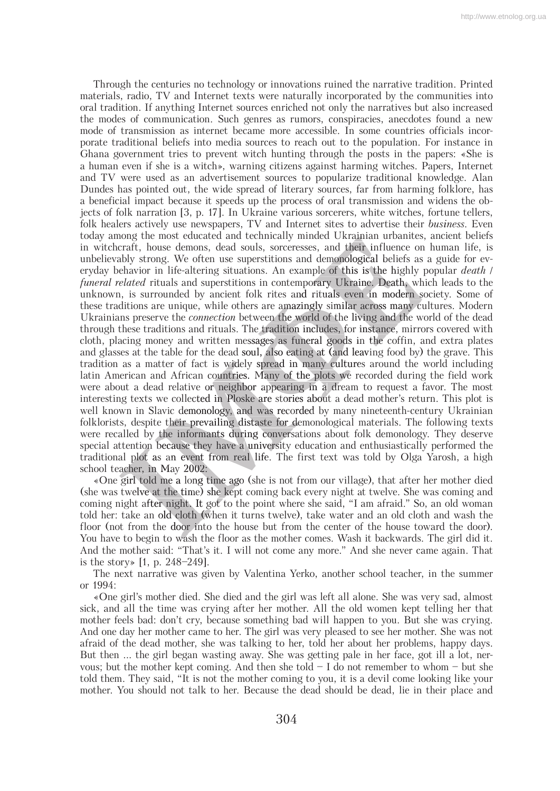Through the centuries no technology or innovations ruined the narrative tradition. Printed materials, radio, TV and Internet texts were naturally incorporated by the communities into oral tradition. If anything Internet sources enriched not only the narratives but also increased the modes of communication. Such genres as rumors, conspiracies, anecdotes found a new mode of transmission as internet became more accessible. In some countries officials incorporate traditional beliefs into media sources to reach out to the population. For instance in Ghana government tries to prevent witch hunting through the posts in the papers: «She is a human even if she is a witch», warning citizens against harming witches. Papers, Internet and TV were used as an advertisement sources to popularize traditional knowledge. Alan Dundes has pointed out, the wide spread of literary sources, far from harming folklore, has a beneficial impact because it speeds up the process of oral transmission and widens the objects of folk narration [3, p. 17]. In Ukraine various sorcerers, white witches, fortune tellers, folk healers actively use newspapers, TV and Internet sites to advertise their *business*. Even today among the most educated and technically minded Ukrainian urbanites, ancient beliefs in witchcraft, house demons, dead souls, sorceresses, and their influence on human life, is unbelievably strong. We often use superstitions and demonological beliefs as a guide for ev eryday behavior in life-altering situations. An example of this is the highly popular *death* / *funeral related* rituals and superstitions in contemporary Ukraine. Death, which leads to the unknown, is surrounded by ancient folk rites and rituals even in modern society. Some of these traditions are unique, while others are amazingly similar across many cultures. Modern Ukrainians preserve the *connection* between the world of the living and the world of the dead through these traditions and rituals. The tradition includes, for instance, mirrors covered with cloth, placing money and written messages as funeral goods in the coffin, and extra plates and glasses at the table for the dead soul, also eating at (and leaving food by) the grave. This tradition as a matter of fact is widely spread in many cultures around the world including latin American and African countries. Many of the plots we recorded during the field work were about a dead relative or neighbor appearing in a dream to request a favor. The most interesting texts we collected in Ploske are stories about a dead mother's return. This plot is well known in Slavic demonology, and was recorded by many nineteenth-century Ukrainian folklorists, despite their prevailing distaste for demonological materials. The following texts were recalled by the informants during conversations about folk demonology. They deserve were special attention because they have a university education and enthusiastically performed the traditional plot as an event from real life. The first text was told by Olga Yarosh, a high school teacher, in May 2002: May atter of fact is widely spread in many cultures around the v<br>nnd African countries. Many of the plots we recorded during<br>ad relative or neighbor appearing in a dream to request a fa<br>we collected in Ploske are stories about t folk rites and rituals even<br>thers are amazingly similar ac<br>between the world of the livir<br>The tradition includes, for ins<br>messages as funeral goods in<br>soul, also eating at (and leav<br>lely spread in many cultures<br>les. Many aded Ukrainian urbanites<br>
E<sub>R</sub>, and their influence or<br>
I demonological beliefs as<br>
sple of this is the highly<br>
prary Ukraine. Death, wh<br>
rituals even in modern s<br>
gly similar across many c<br>
Id of the living and the w<br>
clu

«One girl told me a long time ago (she is not from our village), that after her mother died (she was twelve at the time) she kept coming back every night at twelve. She was coming and coming night after night. It got to the point where she said, "I am afraid." So, an old woman told her: take an old cloth (when it turns twelve), take water and an old cloth and wash the floor (not from the door into the house but from the center of the house toward the door). You have to begin to wash the floor as the mother comes. Wash it backwards. The girl did it. And the mother said: "That's it. I will not come any more." And she never came again. That is the story» [1, р. 248–249]. al plot as an event f<br>
acher, in May 2002:<br>
girl told me a long t<br>
twelve at the time) s<br>
iight after night. It g<br>
take an old cloth (w<br>
ot from the door into<br>
to begin to wash the ago (she is not from our village), that after her mother died<br>ept coming back every night at twelve. She was coming and

The next narrative was given by Valentina Yerko, another school teacher, in the summer or 1994:

«One girl's mother died. She died and the girl was left all alone. She was very sad, almost sick, and all the time was crying after her mother. All the old women kept telling her that mother feels bad: don't cry, because something bad will happen to you. But she was crying. And one day her mother came to her. The girl was very pleased to see her mother. She was not afraid of the dead mother, she was talking to her, told her about her problems, happy days. But then ... the girl began wasting away. She was getting pale in her face, got ill a lot, nervous; but the mother kept coming. And then she told  $- I$  do not remember to whom  $-$  but she told them. They said, "It is not the mother coming to you, it is a devil come looking like your mother. You should not talk to her. Because the dead should be dead, lie in their place and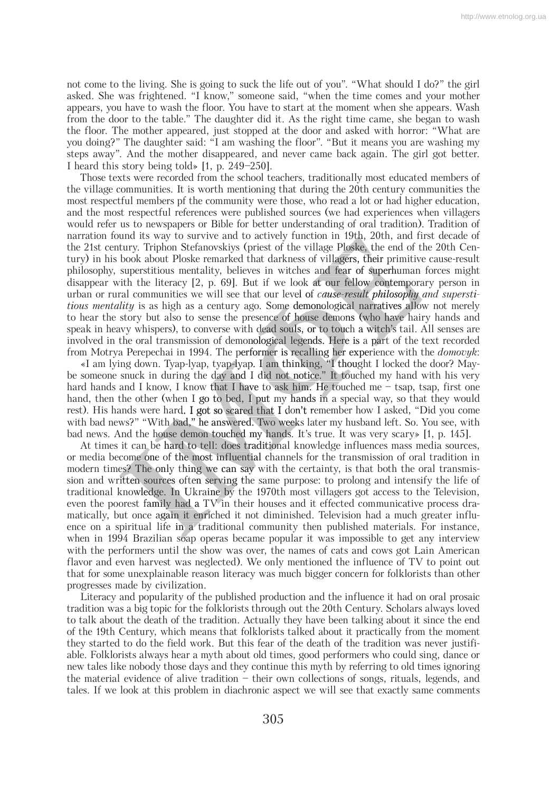not come to the living. She is going to suck the life out of you". "What should I do?" the girl asked. She was frightened. "I know," someone said, "when the time comes and your mother appears, you have to wash the floor. You have to start at the moment when she appears. Wash from the door to the table." The daughter did it. As the right time came, she began to wash the floor. The mother appeared, just stopped at the door and asked with horror: "What are you doing?" The daughter said: "I am washing the floor". "But it means you are washing my steps away". And the mother disappeared, and never came back again. The girl got better. I heard this story being told» [1, р. 249–250].

Those texts were recorded from the school teachers, traditionally most educated members of the village communities. It is worth mentioning that during the 20th century communities the most respectful members pf the community were those, who read a lot or had higher education, and the most respectful references were published sources (we had experiences when villagers would refer us to newspapers or Bible for better understanding of oral tradition). Tradition of narration found its way to survive and to actively function in 19th, 20th, and first decade of the 21st century. Triphon Stefanovskiys (priest of the village Ploske, the end of the 20th Cen-Cen tury) in his book about Ploske remarked that darkness of villagers, their primitive cause-result philosophy, superstitious mentality, believes in witches and fear of superhuman forces might disappear with the literacy [2, р. 69]. But if we look at our fellow contemporary person in urban or rural communities we will see that our level of *cause-result philosophy and supersti- supersti tious mentality* is as high as a century ago. Some demonological narratives allow not merely to hear the story but also to sense the presence of house demons (who have hairy hands and speak in heavy whispers), to converse with dead souls, or to touch a witch's tail. All senses are narration round its way to survive and to actively runction in 19th, 20th, and first decade of the 21st century. Triphon Stefanovskiys (priest of the village Ploske, the end of the 20th Century) in his book about Ploske re from Motrya Perepechai in 1994. The performer is recalling her experience with the *domovyk*: e that our level of *cause-result*<br> *r* ago. Some demonological na<br>
presence of house demons (w<br>
with dead souls, or to touch a v<br>
monological legends. Here is a<br>
performer is recalling her expe<br>
yap. I am thinking, "I tho

«I am lying down. Tyap-lyap, tyap-lyap. I am thinking, "I thought I locked the door? Maybe someone snuck in during the day and I did not notice." It touched my hand with his very hard hands and I know, I know that I have to ask him. He touched me – tsap, tsap, first one hand, then the other (when I go to bed, I put my hands in a special way, so that they would rest). His hands were hard. I got so scared that I don't remember how I asked, "Did you come with bad news?" "With bad," he answered. Two weeks later my husband left. So. You see, with bad news. And the house demon touched my hands. It's true. It was very scary» [1, р. 145]. n. Tyap-lyap, tyap-lyap. I am thin<br>n during the day and I did not n<br>now, I know that I have to ask h<br>r (when I go to bed, I put my ha<br>re hard. I got so scared that I dor<br>Vith bad," he answered. Two week<br>house demon touched

At times it can be hard to tell: does traditional knowledge influences mass media sources, At times it can be nard to teri, those traditional knowledge influences mass ineura solities, or media become one of the most influential channels for the transmission of oral tradition in modern times? The only thing we c modern times? The only thing we can say with the certainty, is that both the oral transmis sion and written sources often serving the same purpose: to prolong and intensify the life of traditional knowledge. In Ukraine by the 1970th most villagers got access to the Television, even the poorest family had a TV in their houses and it effected communicative process dramatically, but once again it enriched it not diminished. Television had a much greater influ ence on a spiritual life in a traditional community then published materials. For instance, when in 1994 Brazilian soap operas became popular it was impossible to get any interview with the performers until the show was over, the names of cats and cows got Lain American flavor and even harvest was neglected). We only mentioned the influence of TV to point out that for some unexplainable reason literacy was much bigger concern for folklorists than other progresses made by civilization.

Literacy and popularity of the published production and the influence it had on oral prosaic tradition was a big topic for the folklorists through out the 20th Century. Scholars always loved to talk about the death of the tradition. Actually they have been talking about it since the end of the 19th Century, which means that folklorists talked about it practically from the moment they started to do the field work. But this fear of the death of the tradition was never justifiable. Folklorists always hear a myth about old times, good performers who could sing, dance or new tales like nobody those days and they continue this myth by referring to old times ignoring the material evidence of alive tradition – their own collections of songs, rituals, legends, and tales. If we look at this problem in diachronic aspect we will see that exactly same comments